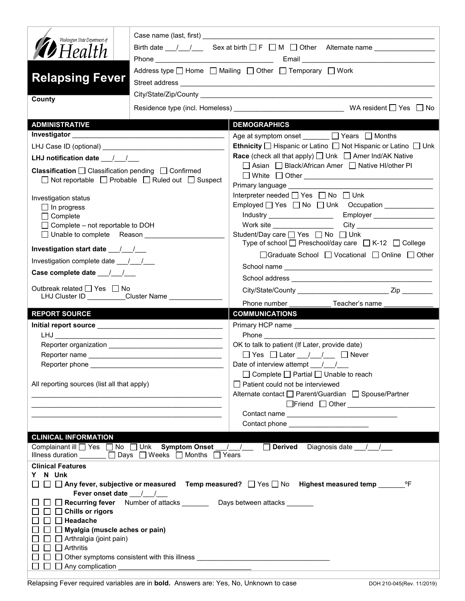| Washington State Department of                                         |                                                                                                                            |                                                                                                                                                                                                                                    |  |  |
|------------------------------------------------------------------------|----------------------------------------------------------------------------------------------------------------------------|------------------------------------------------------------------------------------------------------------------------------------------------------------------------------------------------------------------------------------|--|--|
| $\mathscr{D}$ Health                                                   |                                                                                                                            |                                                                                                                                                                                                                                    |  |  |
|                                                                        |                                                                                                                            |                                                                                                                                                                                                                                    |  |  |
| <b>Relapsing Fever</b>                                                 |                                                                                                                            | Address type $\Box$ Home $\Box$ Mailing $\Box$ Other $\Box$ Temporary $\Box$ Work                                                                                                                                                  |  |  |
| County                                                                 |                                                                                                                            |                                                                                                                                                                                                                                    |  |  |
|                                                                        |                                                                                                                            |                                                                                                                                                                                                                                    |  |  |
| <b>ADMINISTRATIVE</b>                                                  |                                                                                                                            | <b>DEMOGRAPHICS</b>                                                                                                                                                                                                                |  |  |
|                                                                        |                                                                                                                            | Age at symptom onset ______ □ Years □ Months                                                                                                                                                                                       |  |  |
|                                                                        |                                                                                                                            | Ethnicity   Hispanic or Latino   Not Hispanic or Latino   Unk                                                                                                                                                                      |  |  |
| LHJ notification date $\frac{1}{\sqrt{2}}$                             |                                                                                                                            | <b>Race</b> (check all that apply) $\Box$ Unk $\Box$ Amer Ind/AK Native                                                                                                                                                            |  |  |
| <b>Classification</b> $\Box$ Classification pending $\Box$ Confirmed   |                                                                                                                            | □ Asian □ Black/African Amer □ Native HI/other PI                                                                                                                                                                                  |  |  |
|                                                                        | $\Box$ Not reportable $\Box$ Probable $\Box$ Ruled out $\Box$ Suspect                                                      |                                                                                                                                                                                                                                    |  |  |
|                                                                        |                                                                                                                            | Primary language _________<br>Interpreter needed □ Yes □ No □ Unk                                                                                                                                                                  |  |  |
| Investigation status                                                   |                                                                                                                            |                                                                                                                                                                                                                                    |  |  |
| $\Box$ In progress<br>$\Box$ Complete                                  |                                                                                                                            | Employer __________________<br>Industry ____________________                                                                                                                                                                       |  |  |
|                                                                        |                                                                                                                            |                                                                                                                                                                                                                                    |  |  |
| $\Box$ Complete – not reportable to DOH<br>□ Unable to complete Reason |                                                                                                                            | Student/Day care <u>S</u> Yes <b>Solution</b> No Student/Day care S<br>Type of school $\Box$ Preschool/day care $\Box$ K-12 $\Box$ College                                                                                         |  |  |
| Investigation start date ___/__/___                                    |                                                                                                                            | □ Graduate School □ Vocational □ Online □ Other                                                                                                                                                                                    |  |  |
| Investigation complete date 11/1                                       |                                                                                                                            |                                                                                                                                                                                                                                    |  |  |
| Case complete date 11                                                  |                                                                                                                            |                                                                                                                                                                                                                                    |  |  |
| Outbreak related □ Yes □ No                                            |                                                                                                                            |                                                                                                                                                                                                                                    |  |  |
|                                                                        | LHJ Cluster ID _________Cluster Name ____________                                                                          | Phone number _______________Teacher's name _____________                                                                                                                                                                           |  |  |
|                                                                        |                                                                                                                            |                                                                                                                                                                                                                                    |  |  |
| <b>REPORT SOURCE</b>                                                   |                                                                                                                            | <b>COMMUNICATIONS</b>                                                                                                                                                                                                              |  |  |
|                                                                        |                                                                                                                            |                                                                                                                                                                                                                                    |  |  |
|                                                                        |                                                                                                                            | <b>Phone Contract Contract Contract Contract Contract Contract Contract Contract Contract Contract Contract Contract Contract Contract Contract Contract Contract Contract Contract Contract Contract Contract Contract Contra</b> |  |  |
|                                                                        |                                                                                                                            | OK to talk to patient (If Later, provide date)                                                                                                                                                                                     |  |  |
|                                                                        |                                                                                                                            | $\Box$ Yes $\Box$ Later $\frac{1}{\Box}$ $\Box$ Never                                                                                                                                                                              |  |  |
| Reporter phone                                                         |                                                                                                                            | Date of interview attempt / /                                                                                                                                                                                                      |  |  |
|                                                                        |                                                                                                                            | □ Complete □ Partial □ Unable to reach                                                                                                                                                                                             |  |  |
| All reporting sources (list all that apply)                            |                                                                                                                            | $\Box$ Patient could not be interviewed                                                                                                                                                                                            |  |  |
|                                                                        |                                                                                                                            | Alternate contact □ Parent/Guardian □ Spouse/Partner                                                                                                                                                                               |  |  |
|                                                                        | <u> 1989 - Johann Stoff, amerikansk politiker (d. 1989)</u>                                                                | □Friend □ Other <u>______________________</u>                                                                                                                                                                                      |  |  |
|                                                                        |                                                                                                                            | Contact phone <u>_______________________</u>                                                                                                                                                                                       |  |  |
|                                                                        |                                                                                                                            |                                                                                                                                                                                                                                    |  |  |
| <b>CLINICAL INFORMATION</b>                                            | Complainant ill D Yes D No D Unk Symptom Onset / /<br>Illness duration $\Box$ Days $\Box$ Weeks $\Box$ Months $\Box$ Years | Derived Diagnosis date / /                                                                                                                                                                                                         |  |  |
| <b>Clinical Features</b>                                               |                                                                                                                            |                                                                                                                                                                                                                                    |  |  |
| N Unk<br>Y                                                             |                                                                                                                            |                                                                                                                                                                                                                                    |  |  |
|                                                                        |                                                                                                                            | $\Box~\Box~\Box$ Any fever, subjective or measured  Temp measured? $~\Box$ Yes $\Box$ No  Highest measured temp ______<br>°F                                                                                                       |  |  |
| Fever onset date / /                                                   |                                                                                                                            |                                                                                                                                                                                                                                    |  |  |
|                                                                        | □ Recurring fever Number of attacks _______ Days between attacks ______                                                    |                                                                                                                                                                                                                                    |  |  |
| $\Box$ $\Box$ Chills or rigors<br>$\Box$ Headache                      |                                                                                                                            |                                                                                                                                                                                                                                    |  |  |
| Myalgia (muscle aches or pain)                                         |                                                                                                                            |                                                                                                                                                                                                                                    |  |  |
| $\Box$ Arthralgia (joint pain)                                         |                                                                                                                            |                                                                                                                                                                                                                                    |  |  |
| $\sqcap$ Arthritis                                                     |                                                                                                                            |                                                                                                                                                                                                                                    |  |  |
| $\Box$ Any complication<br>$\perp$                                     |                                                                                                                            |                                                                                                                                                                                                                                    |  |  |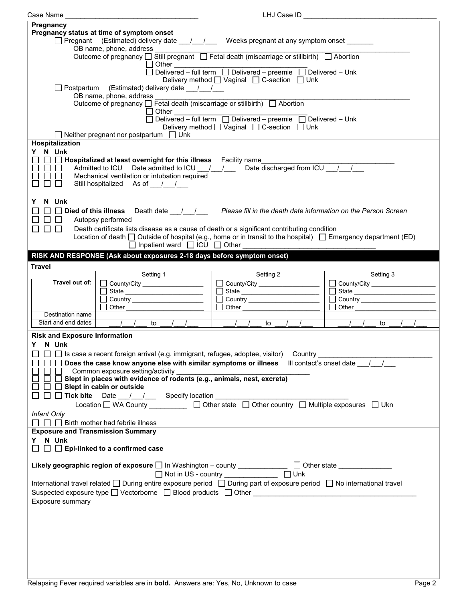| Case Name<br>LHJ Case ID                                                                                                                                |                                                                                                                                                                                                                         |                                                            |                                |  |
|---------------------------------------------------------------------------------------------------------------------------------------------------------|-------------------------------------------------------------------------------------------------------------------------------------------------------------------------------------------------------------------------|------------------------------------------------------------|--------------------------------|--|
| Pregnancy                                                                                                                                               |                                                                                                                                                                                                                         |                                                            |                                |  |
| Pregnancy status at time of symptom onset<br>$\Box$ Pregnant (Estimated) delivery date $\Box$ / $\Box$ Weeks pregnant at any symptom onset              |                                                                                                                                                                                                                         |                                                            |                                |  |
| OB name, phone, address<br>Outcome of pregnancy □ Still pregnant □ Fetal death (miscarriage or stillbirth) □ Abortion                                   |                                                                                                                                                                                                                         |                                                            |                                |  |
|                                                                                                                                                         | $\Box$ Other $\Box$                                                                                                                                                                                                     | Delivered - full term Delivered - preemie Delivered - Unk  |                                |  |
|                                                                                                                                                         | □ Postpartum (Estimated) delivery date __/__/__                                                                                                                                                                         | Delivery method $\Box$ Vaginal $\Box$ C-section $\Box$ Unk |                                |  |
|                                                                                                                                                         | OB name, phone, address ___________<br>Outcome of pregnancy □ Fetal death (miscarriage or stillbirth) □ Abortion                                                                                                        |                                                            |                                |  |
| $\Box$ Other                                                                                                                                            |                                                                                                                                                                                                                         |                                                            |                                |  |
| Delivery method [ Vaginal [ C-section [ Unk<br>$\Box$ Neither pregnant nor postpartum $\Box$ Unk                                                        |                                                                                                                                                                                                                         |                                                            |                                |  |
| <b>Hospitalization</b>                                                                                                                                  |                                                                                                                                                                                                                         |                                                            |                                |  |
| Y N Unk<br>Admitted to ICU Date admitted to ICU __ / __ / __ Date discharged from ICU __ / __ /                                                         |                                                                                                                                                                                                                         |                                                            |                                |  |
| $\Box$<br>$\Box$<br>$\blacksquare$                                                                                                                      | Mechanical ventilation or intubation required                                                                                                                                                                           |                                                            |                                |  |
| П                                                                                                                                                       | Still hospitalized As of //                                                                                                                                                                                             |                                                            |                                |  |
| N Unk<br>Y.                                                                                                                                             | □ Died of this illness Death date / / / Please fill in the death date information on the Person Screen                                                                                                                  |                                                            |                                |  |
| $\square$                                                                                                                                               | Autopsy performed                                                                                                                                                                                                       |                                                            |                                |  |
| П.<br>$\square$ $\square$                                                                                                                               | Death certificate lists disease as a cause of death or a significant contributing condition<br>Location of death $\Box$ Outside of hospital (e.g., home or in transit to the hospital) $\Box$ Emergency department (ED) |                                                            |                                |  |
|                                                                                                                                                         | $\Box$ Inpatient ward $\Box$ ICU $\Box$ Other                                                                                                                                                                           |                                                            |                                |  |
| <b>Travel</b>                                                                                                                                           | RISK AND RESPONSE (Ask about exposures 2-18 days before symptom onset)                                                                                                                                                  |                                                            |                                |  |
|                                                                                                                                                         | Setting 1                                                                                                                                                                                                               | Setting 2                                                  | Setting 3                      |  |
| Travel out of:                                                                                                                                          | County/City _________________                                                                                                                                                                                           | County/City                                                | County/City __________________ |  |
|                                                                                                                                                         |                                                                                                                                                                                                                         |                                                            |                                |  |
|                                                                                                                                                         |                                                                                                                                                                                                                         |                                                            | Country ______________________ |  |
|                                                                                                                                                         | Other                                                                                                                                                                                                                   | Other                                                      | Other                          |  |
| Destination name                                                                                                                                        |                                                                                                                                                                                                                         |                                                            |                                |  |
|                                                                                                                                                         | Start and end dates       to                                                                                                                                                                                            | $\sqrt{1 + 1}$ to $\sqrt{1 + 1}$                           | to                             |  |
| <b>Risk and Exposure Information</b>                                                                                                                    |                                                                                                                                                                                                                         |                                                            |                                |  |
| Y N Unk                                                                                                                                                 |                                                                                                                                                                                                                         |                                                            |                                |  |
|                                                                                                                                                         | □ □ □ Is case a recent foreign arrival (e.g. immigrant, refugee, adoptee, visitor) Country ________                                                                                                                     |                                                            |                                |  |
|                                                                                                                                                         | $\Box$ Does the case know anyone else with similar symptoms or illness $\Box$ Ill contact's onset date $\Box$                                                                                                           |                                                            |                                |  |
|                                                                                                                                                         | Common exposure setting/activity                                                                                                                                                                                        |                                                            |                                |  |
|                                                                                                                                                         | $\Box$ $\Box$ Slept in places with evidence of rodents (e.g., animals, nest, excreta)                                                                                                                                   |                                                            |                                |  |
| $\Box$ Slept in cabin or outside                                                                                                                        |                                                                                                                                                                                                                         |                                                            |                                |  |
| □ □ Tick bite Date __/ __/ __ Specify location _________________________________                                                                        |                                                                                                                                                                                                                         |                                                            |                                |  |
| Location □ WA County __________ □ Other state □ Other country □ Multiple exposures □ Ukn                                                                |                                                                                                                                                                                                                         |                                                            |                                |  |
| Infant Only<br>$\Box$ $\Box$ Birth mother had febrile illness                                                                                           |                                                                                                                                                                                                                         |                                                            |                                |  |
| <b>Exposure and Transmission Summary</b>                                                                                                                |                                                                                                                                                                                                                         |                                                            |                                |  |
| Y N Unk                                                                                                                                                 |                                                                                                                                                                                                                         |                                                            |                                |  |
| $\Box$ Epi-linked to a confirmed case                                                                                                                   |                                                                                                                                                                                                                         |                                                            |                                |  |
| Likely geographic region of exposure □ In Washington - county ______________ □ Other state ______________<br>□ Not in US - country ______________ □ Unk |                                                                                                                                                                                                                         |                                                            |                                |  |
| International travel related □ During entire exposure period □ During part of exposure period □ No international travel                                 |                                                                                                                                                                                                                         |                                                            |                                |  |
| Exposure summary                                                                                                                                        |                                                                                                                                                                                                                         |                                                            |                                |  |
|                                                                                                                                                         |                                                                                                                                                                                                                         |                                                            |                                |  |
|                                                                                                                                                         |                                                                                                                                                                                                                         |                                                            |                                |  |
|                                                                                                                                                         |                                                                                                                                                                                                                         |                                                            |                                |  |
|                                                                                                                                                         |                                                                                                                                                                                                                         |                                                            |                                |  |
|                                                                                                                                                         |                                                                                                                                                                                                                         |                                                            |                                |  |